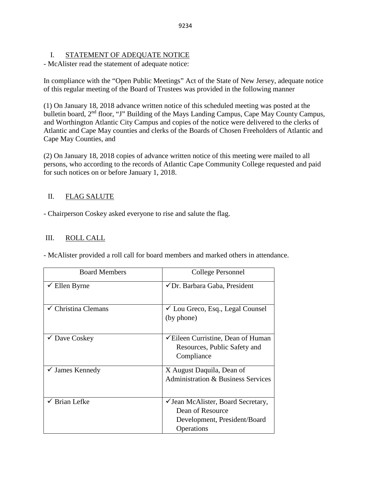# I. STATEMENT OF ADEQUATE NOTICE

- McAlister read the statement of adequate notice:

In compliance with the "Open Public Meetings" Act of the State of New Jersey, adequate notice of this regular meeting of the Board of Trustees was provided in the following manner

(1) On January 18, 2018 advance written notice of this scheduled meeting was posted at the bulletin board, 2<sup>nd</sup> floor, "J" Building of the Mays Landing Campus, Cape May County Campus, and Worthington Atlantic City Campus and copies of the notice were delivered to the clerks of Atlantic and Cape May counties and clerks of the Boards of Chosen Freeholders of Atlantic and Cape May Counties, and

(2) On January 18, 2018 copies of advance written notice of this meeting were mailed to all persons, who according to the records of Atlantic Cape Community College requested and paid for such notices on or before January 1, 2018.

# II. FLAG SALUTE

- Chairperson Coskey asked everyone to rise and salute the flag.

# III. ROLL CALL

| <b>Board Members</b>       | College Personnel                                                                                    |
|----------------------------|------------------------------------------------------------------------------------------------------|
| Ellen Byrne                | ✔ Dr. Barbara Gaba, President                                                                        |
| Christina Clemans          | $\checkmark$ Lou Greco, Esq., Legal Counsel<br>(by phone)                                            |
| $\checkmark$ Dave Coskey   | <del></del> Eileen Curristine, Dean of Human<br>Resources, Public Safety and<br>Compliance           |
| $\checkmark$ James Kennedy | X August Daquila, Dean of<br><b>Administration &amp; Business Services</b>                           |
| Brian Lefke                | ✓ Jean McAlister, Board Secretary,<br>Dean of Resource<br>Development, President/Board<br>Operations |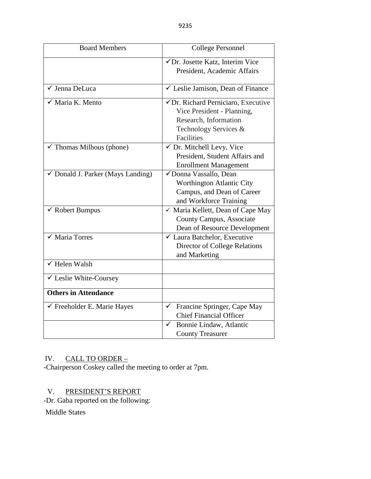| <b>Board Members</b>                         | <b>College Personnel</b>                    |  |
|----------------------------------------------|---------------------------------------------|--|
|                                              | √Dr. Josette Katz, Interim Vice             |  |
|                                              | President, Academic Affairs                 |  |
| √ Jenna DeLuca                               | ✓ Leslie Jamison, Dean of Finance           |  |
| Maria K. Mento                               | √ Dr. Richard Perniciaro, Executive         |  |
|                                              | Vice President - Planning,                  |  |
|                                              | Research, Information                       |  |
|                                              | Technology Services &                       |  |
|                                              | Facilities                                  |  |
| $\checkmark$ Thomas Milhous (phone)          | √ Dr. Mitchell Levy, Vice                   |  |
|                                              | President, Student Affairs and              |  |
|                                              | <b>Enrollment Management</b>                |  |
| $\checkmark$ Donald J. Parker (Mays Landing) | √Donna Vassallo, Dean                       |  |
|                                              | Worthington Atlantic City                   |  |
|                                              | Campus, and Dean of Career                  |  |
|                                              | and Workforce Training                      |  |
| $\checkmark$ Robert Bumpus                   | ✓ Maria Kellett, Dean of Cape May           |  |
|                                              | County Campus, Associate                    |  |
|                                              | Dean of Resource Development                |  |
| <b>Maria Torres</b>                          | ✓ Laura Batchelor, Executive                |  |
|                                              | <b>Director of College Relations</b>        |  |
|                                              | and Marketing                               |  |
| $\sqrt{}$ Helen Walsh                        |                                             |  |
| ✔ Leslie White-Coursey                       |                                             |  |
| <b>Others in Attendance</b>                  |                                             |  |
| $\checkmark$ Freeholder E. Marie Hayes       | Francine Springer, Cape May<br>$\checkmark$ |  |
|                                              | <b>Chief Financial Officer</b>              |  |
|                                              | Bonnie Lindaw, Atlantic<br>✓                |  |
|                                              | <b>County Treasurer</b>                     |  |

# IV. CALL TO ORDER –

-Chairperson Coskey called the meeting to order at 7pm.

# V. PRESIDENT'S REPORT

-Dr. Gaba reported on the following:

Middle States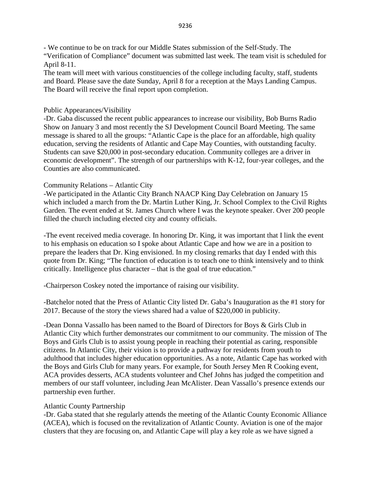- We continue to be on track for our Middle States submission of the Self-Study. The "Verification of Compliance" document was submitted last week. The team visit is scheduled for April 8-11.

The team will meet with various constituencies of the college including faculty, staff, students and Board. Please save the date Sunday, April 8 for a reception at the Mays Landing Campus. The Board will receive the final report upon completion.

# Public Appearances/Visibility

-Dr. Gaba discussed the recent public appearances to increase our visibility, Bob Burns Radio Show on January 3 and most recently the SJ Development Council Board Meeting. The same message is shared to all the groups: "Atlantic Cape is the place for an affordable, high quality education, serving the residents of Atlantic and Cape May Counties, with outstanding faculty. Students can save \$20,000 in post-secondary education. Community colleges are a driver in economic development". The strength of our partnerships with K-12, four-year colleges, and the Counties are also communicated.

# Community Relations – Atlantic City

-We participated in the Atlantic City Branch NAACP King Day Celebration on January 15 which included a march from the Dr. Martin Luther King, Jr. School Complex to the Civil Rights Garden. The event ended at St. James Church where I was the keynote speaker. Over 200 people filled the church including elected city and county officials.

-The event received media coverage. In honoring Dr. King, it was important that I link the event to his emphasis on education so I spoke about Atlantic Cape and how we are in a position to prepare the leaders that Dr. King envisioned. In my closing remarks that day I ended with this quote from Dr. King; "The function of education is to teach one to think intensively and to think critically. Intelligence plus character – that is the goal of true education."

-Chairperson Coskey noted the importance of raising our visibility.

-Batchelor noted that the Press of Atlantic City listed Dr. Gaba's Inauguration as the #1 story for 2017. Because of the story the views shared had a value of \$220,000 in publicity.

-Dean Donna Vassallo has been named to the Board of Directors for Boys & Girls Club in Atlantic City which further demonstrates our commitment to our community. The mission of The Boys and Girls Club is to assist young people in reaching their potential as caring, responsible citizens. In Atlantic City, their vision is to provide a pathway for residents from youth to adulthood that includes higher education opportunities. As a note, Atlantic Cape has worked with the Boys and Girls Club for many years. For example, for South Jersey Men R Cooking event, ACA provides desserts, ACA students volunteer and Chef Johns has judged the competition and members of our staff volunteer, including Jean McAlister. Dean Vassallo's presence extends our partnership even further.

# Atlantic County Partnership

-Dr. Gaba stated that she regularly attends the meeting of the Atlantic County Economic Alliance (ACEA), which is focused on the revitalization of Atlantic County. Aviation is one of the major clusters that they are focusing on, and Atlantic Cape will play a key role as we have signed a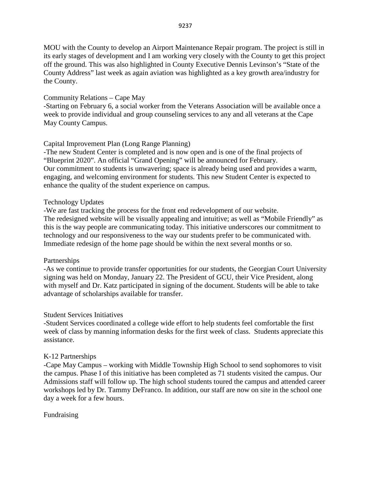MOU with the County to develop an Airport Maintenance Repair program. The project is still in its early stages of development and I am working very closely with the County to get this project off the ground. This was also highlighted in County Executive Dennis Levinson's "State of the County Address" last week as again aviation was highlighted as a key growth area/industry for the County.

# Community Relations – Cape May

-Starting on February 6, a social worker from the Veterans Association will be available once a week to provide individual and group counseling services to any and all veterans at the Cape May County Campus.

# Capital Improvement Plan (Long Range Planning)

-The new Student Center is completed and is now open and is one of the final projects of "Blueprint 2020". An official "Grand Opening" will be announced for February. Our commitment to students is unwavering; space is already being used and provides a warm, engaging, and welcoming environment for students. This new Student Center is expected to enhance the quality of the student experience on campus.

# Technology Updates

-We are fast tracking the process for the front end redevelopment of our website. The redesigned website will be visually appealing and intuitive; as well as "Mobile Friendly" as this is the way people are communicating today. This initiative underscores our commitment to technology and our responsiveness to the way our students prefer to be communicated with. Immediate redesign of the home page should be within the next several months or so.

# Partnerships

-As we continue to provide transfer opportunities for our students, the Georgian Court University signing was held on Monday, January 22. The President of GCU, their Vice President, along with myself and Dr. Katz participated in signing of the document. Students will be able to take advantage of scholarships available for transfer.

# Student Services Initiatives

-Student Services coordinated a college wide effort to help students feel comfortable the first week of class by manning information desks for the first week of class. Students appreciate this assistance.

# K-12 Partnerships

-Cape May Campus – working with Middle Township High School to send sophomores to visit the campus. Phase I of this initiative has been completed as 71 students visited the campus. Our Admissions staff will follow up. The high school students toured the campus and attended career workshops led by Dr. Tammy DeFranco. In addition, our staff are now on site in the school one day a week for a few hours.

# Fundraising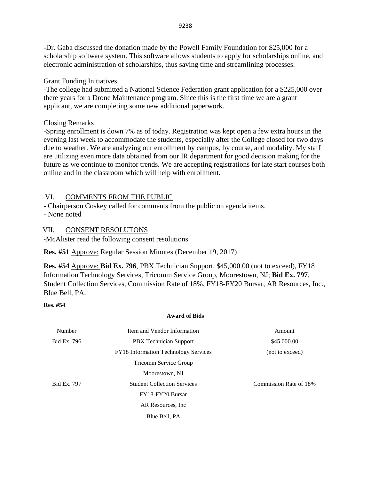-Dr. Gaba discussed the donation made by the Powell Family Foundation for \$25,000 for a scholarship software system. This software allows students to apply for scholarships online, and electronic administration of scholarships, thus saving time and streamlining processes.

Grant Funding Initiatives

-The college had submitted a National Science Federation grant application for a \$225,000 over there years for a Drone Maintenance program. Since this is the first time we are a grant applicant, we are completing some new additional paperwork.

# Closing Remarks

-Spring enrollment is down 7% as of today. Registration was kept open a few extra hours in the evening last week to accommodate the students, especially after the College closed for two days due to weather. We are analyzing our enrollment by campus, by course, and modality. My staff are utilizing even more data obtained from our IR department for good decision making for the future as we continue to monitor trends. We are accepting registrations for late start courses both online and in the classroom which will help with enrollment.

# VI. COMMENTS FROM THE PUBLIC

- Chairperson Coskey called for comments from the public on agenda items.

- None noted

# VII. CONSENT RESOLUTONS

-McAlister read the following consent resolutions.

**Res. #51** Approve: Regular Session Minutes (December 19, 2017)

**Res. #54** Approve: **Bid Ex. 796**, PBX Technician Support, \$45,000.00 (not to exceed), FY18 Information Technology Services, Tricomm Service Group, Moorestown, NJ; **Bid Ex. 797**, Student Collection Services, Commission Rate of 18%, FY18-FY20 Bursar, AR Resources, Inc., Blue Bell, PA.

# **Res. #54**

# **Award of Bids**

| Number             | Item and Vendor Information          | Amount                 |
|--------------------|--------------------------------------|------------------------|
| Bid Ex. 796        | <b>PBX</b> Technician Support        | \$45,000.00            |
|                    | FY18 Information Technology Services | (not to exceed)        |
|                    | <b>Tricomm Service Group</b>         |                        |
|                    | Moorestown, NJ                       |                        |
| <b>Bid Ex. 797</b> | <b>Student Collection Services</b>   | Commission Rate of 18% |
|                    | FY18-FY20 Bursar                     |                        |
|                    | AR Resources, Inc.                   |                        |
|                    | Blue Bell, PA                        |                        |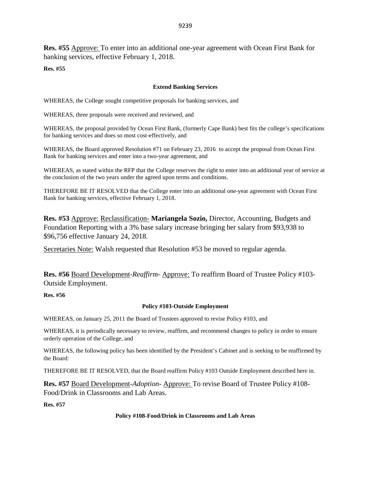**Res. #55** Approve: To enter into an additional one-year agreement with Ocean First Bank for banking services, effective February 1, 2018.

**Res. #55**

#### **Extend Banking Services**

WHEREAS, the College sought competitive proposals for banking services, and

WHEREAS, three proposals were received and reviewed, and

WHEREAS, the proposal provided by Ocean First Bank, (formerly Cape Bank) best fits the college's specifications for banking services and does so most cost-effectively, and

WHEREAS, the Board approved Resolution #71 on February 23, 2016 to accept the proposal from Ocean First Bank for banking services and enter into a two-year agreement, and

WHEREAS, as stated within the RFP that the College reserves the right to enter into an additional year of service at the conclusion of the two years under the agreed upon terms and conditions.

THEREFORE BE IT RESOLVED that the College enter into an additional one-year agreement with Ocean First Bank for banking services, effective February 1, 2018.

**Res. #53** Approve: Reclassification- **Mariangela Sozio,** Director, Accounting, Budgets and Foundation Reporting with a 3% base salary increase bringing her salary from \$93,938 to \$96,756 effective January 24, 2018.

Secretaries Note: Walsh requested that Resolution #53 be moved to regular agenda.

**Res. #56** Board Development-*Reaffirm-* Approve: To reaffirm Board of Trustee Policy #103- Outside Employment.

**Res. #56**

#### **Policy #103-Outside Employment**

WHEREAS, on January 25, 2011 the Board of Trustees approved to revise Policy #103, and

WHEREAS, it is periodically necessary to review, reaffirm, and recommend changes to policy in order to ensure orderly operation of the College, and

WHEREAS, the following policy has been identified by the President's Cabinet and is seeking to be reaffirmed by the Board:

THEREFORE BE IT RESOLVED, that the Board reaffirm Policy #103 Outside Employment described here in.

**Res. #57** Board Development-*Adoption-* Approve: To revise Board of Trustee Policy #108- Food/Drink in Classrooms and Lab Areas.

**Res. #57**

#### **Policy #108-Food/Drink in Classrooms and Lab Areas**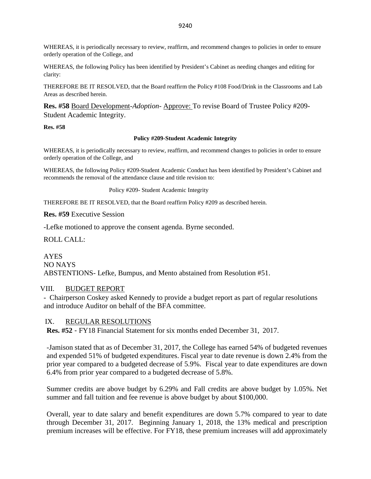WHEREAS, it is periodically necessary to review, reaffirm, and recommend changes to policies in order to ensure orderly operation of the College, and

WHEREAS, the following Policy has been identified by President's Cabinet as needing changes and editing for clarity:

THEREFORE BE IT RESOLVED, that the Board reaffirm the Policy #108 Food/Drink in the Classrooms and Lab Areas as described herein.

**Res. #58** Board Development-*Adoption-* Approve: To revise Board of Trustee Policy #209- Student Academic Integrity.

**Res. #58**

#### **Policy #209-Student Academic Integrity**

WHEREAS, it is periodically necessary to review, reaffirm, and recommend changes to policies in order to ensure orderly operation of the College, and

WHEREAS, the following Policy #209-Student Academic Conduct has been identified by President's Cabinet and recommends the removal of the attendance clause and title revision to:

Policy #209- Student Academic Integrity

THEREFORE BE IT RESOLVED, that the Board reaffirm Policy #209 as described herein.

**Res. #59** Executive Session

-Lefke motioned to approve the consent agenda. Byrne seconded.

ROLL CALL:

AYES NO NAYS ABSTENTIONS- Lefke, Bumpus, and Mento abstained from Resolution #51.

#### VIII. BUDGET REPORT

- Chairperson Coskey asked Kennedy to provide a budget report as part of regular resolutions and introduce Auditor on behalf of the BFA committee.

#### IX. REGULAR RESOLUTIONS

**Res. #52** - FY18 Financial Statement for six months ended December 31, 2017.

-Jamison stated that as of December 31, 2017, the College has earned 54% of budgeted revenues and expended 51% of budgeted expenditures. Fiscal year to date revenue is down 2.4% from the prior year compared to a budgeted decrease of 5.9%. Fiscal year to date expenditures are down 6.4% from prior year compared to a budgeted decrease of 5.8%.

Summer credits are above budget by 6.29% and Fall credits are above budget by 1.05%. Net summer and fall tuition and fee revenue is above budget by about \$100,000.

Overall, year to date salary and benefit expenditures are down 5.7% compared to year to date through December 31, 2017. Beginning January 1, 2018, the 13% medical and prescription premium increases will be effective. For FY18, these premium increases will add approximately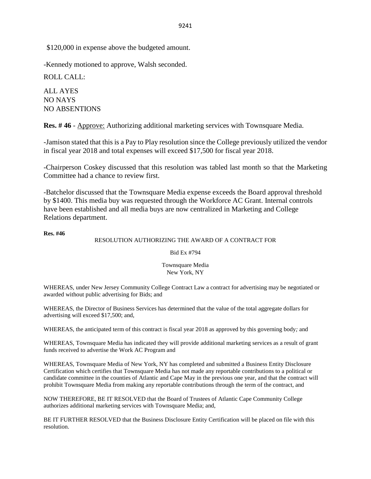\$120,000 in expense above the budgeted amount.

-Kennedy motioned to approve, Walsh seconded.

ROLL CALL:

ALL AYES NO NAYS NO ABSENTIONS

**Res. #46** - Approve: Authorizing additional marketing services with Townsquare Media.

-Jamison stated that this is a Pay to Play resolution since the College previously utilized the vendor in fiscal year 2018 and total expenses will exceed \$17,500 for fiscal year 2018.

-Chairperson Coskey discussed that this resolution was tabled last month so that the Marketing Committee had a chance to review first.

-Batchelor discussed that the Townsquare Media expense exceeds the Board approval threshold by \$1400. This media buy was requested through the Workforce AC Grant. Internal controls have been established and all media buys are now centralized in Marketing and College Relations department.

#### **Res. #46**

#### RESOLUTION AUTHORIZING THE AWARD OF A CONTRACT FOR

Bid Ex #794

Townsquare Media New York, NY

WHEREAS, under New Jersey Community College Contract Law a contract for advertising may be negotiated or awarded without public advertising for Bids; and

WHEREAS, the Director of Business Services has determined that the value of the total aggregate dollars for advertising will exceed \$17,500; and,

WHEREAS, the anticipated term of this contract is fiscal year 2018 as approved by this governing body*;* and

WHEREAS, Townsquare Media has indicated they will provide additional marketing services as a result of grant funds received to advertise the Work AC Program and

WHEREAS, Townsquare Media of New York, NY has completed and submitted a Business Entity Disclosure Certification which certifies that Townsquare Media has not made any reportable contributions to a political or candidate committee in the counties of Atlantic and Cape May in the previous one year, and that the contract will prohibit Townsquare Media from making any reportable contributions through the term of the contract, and

NOW THEREFORE, BE IT RESOLVED that the Board of Trustees of Atlantic Cape Community College authorizes additional marketing services with Townsquare Media; and,

BE IT FURTHER RESOLVED that the Business Disclosure Entity Certification will be placed on file with this resolution.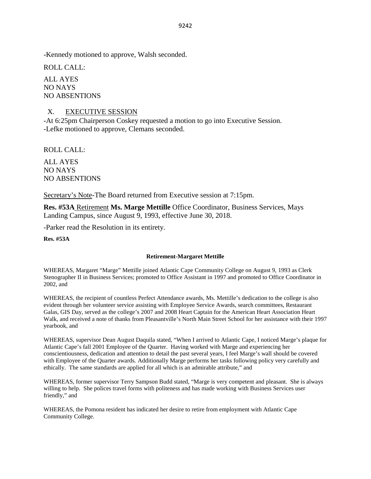-Kennedy motioned to approve, Walsh seconded.

ROLL CALL:

ALL AYES NO NAYS NO ABSENTIONS

# X. EXECUTIVE SESSION

-At 6:25pm Chairperson Coskey requested a motion to go into Executive Session. -Lefke motioned to approve, Clemans seconded.

ROLL CALL:

ALL AYES NO NAYS NO ABSENTIONS

Secretary's Note-The Board returned from Executive session at 7:15pm.

**Res. #53A** Retirement **Ms. Marge Mettille** Office Coordinator, Business Services, Mays Landing Campus, since August 9, 1993, effective June 30, 2018.

-Parker read the Resolution in its entirety.

**Res. #53A**

#### **Retirement-Margaret Mettille**

WHEREAS, Margaret "Marge" Mettille joined Atlantic Cape Community College on August 9, 1993 as Clerk Stenographer II in Business Services; promoted to Office Assistant in 1997 and promoted to Office Coordinator in 2002, and

WHEREAS, the recipient of countless Perfect Attendance awards, Ms. Mettille's dedication to the college is also evident through her volunteer service assisting with Employee Service Awards, search committees, Restaurant Galas, GIS Day, served as the college's 2007 and 2008 Heart Captain for the American Heart Association Heart Walk, and received a note of thanks from Pleasantville's North Main Street School for her assistance with their 1997 yearbook, and

WHEREAS, supervisor Dean August Daquila stated, "When I arrived to Atlantic Cape, I noticed Marge's plaque for Atlantic Cape's fall 2001 Employee of the Quarter. Having worked with Marge and experiencing her conscientiousness, dedication and attention to detail the past several years, I feel Marge's wall should be covered with Employee of the Quarter awards. Additionally Marge performs her tasks following policy very carefully and ethically. The same standards are applied for all which is an admirable attribute," and

WHEREAS, former supervisor Terry Sampson Budd stated, "Marge is very competent and pleasant. She is always willing to help. She polices travel forms with politeness and has made working with Business Services user friendly," and

WHEREAS, the Pomona resident has indicated her desire to retire from employment with Atlantic Cape Community College.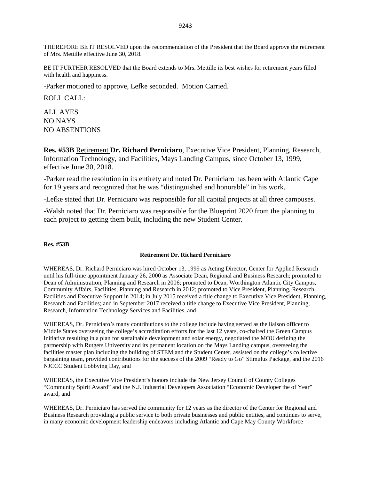THEREFORE BE IT RESOLVED upon the recommendation of the President that the Board approve the retirement of Mrs. Mettille effective June 30, 2018.

BE IT FURTHER RESOLVED that the Board extends to Mrs. Mettille its best wishes for retirement years filled with health and happiness.

-Parker motioned to approve, Lefke seconded. Motion Carried.

ROLL CALL:

ALL AYES NO NAYS NO ABSENTIONS

**Res. #53B** Retirement **Dr. Richard Perniciaro**, Executive Vice President, Planning, Research, Information Technology, and Facilities, Mays Landing Campus, since October 13, 1999, effective June 30, 2018.

-Parker read the resolution in its entirety and noted Dr. Perniciaro has been with Atlantic Cape for 19 years and recognized that he was "distinguished and honorable" in his work.

-Lefke stated that Dr. Perniciaro was responsible for all capital projects at all three campuses.

-Walsh noted that Dr. Perniciaro was responsible for the Blueprint 2020 from the planning to each project to getting them built, including the new Student Center.

#### **Res. #53B**

#### **Retirement Dr. Richard Perniciaro**

WHEREAS, Dr. Richard Perniciaro was hired October 13, 1999 as Acting Director, Center for Applied Research until his full-time appointment January 26, 2000 as Associate Dean, Regional and Business Research; promoted to Dean of Administration, Planning and Research in 2006; promoted to Dean, Worthington Atlantic City Campus, Community Affairs, Facilities, Planning and Research in 2012; promoted to Vice President, Planning, Research, Facilities and Executive Support in 2014; in July 2015 received a title change to Executive Vice President, Planning, Research and Facilities; and in September 2017 received a title change to Executive Vice President, Planning, Research, Information Technology Services and Facilities, and

WHEREAS, Dr. Perniciaro's many contributions to the college include having served as the liaison officer to Middle States overseeing the college's accreditation efforts for the last 12 years, co-chaired the Green Campus Initiative resulting in a plan for sustainable development and solar energy, negotiated the MOU defining the partnership with Rutgers University and its permanent location on the Mays Landing campus, overseeing the facilities master plan including the building of STEM and the Student Center, assisted on the college's collective bargaining team, provided contributions for the success of the 2009 "Ready to Go" Stimulus Package, and the 2016 NJCCC Student Lobbying Day, and

WHEREAS, the Executive Vice President's honors include the New Jersey Council of County Colleges "Community Spirit Award" and the N.J. Industrial Developers Association "Economic Developer the of Year" award, and

WHEREAS, Dr. Perniciaro has served the community for 12 years as the director of the Center for Regional and Business Research providing a public service to both private businesses and public entities, and continues to serve, in many economic development leadership endeavors including Atlantic and Cape May County Workforce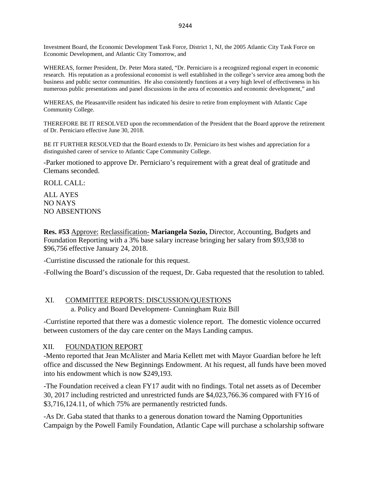Investment Board, the Economic Development Task Force, District 1, NJ, the 2005 Atlantic City Task Force on Economic Development, and Atlantic City Tomorrow, and

WHEREAS, former President, Dr. Peter Mora stated, "Dr. Perniciaro is a recognized regional expert in economic research. His reputation as a professional economist is well established in the college's service area among both the business and public sector communities. He also consistently functions at a very high level of effectiveness in his numerous public presentations and panel discussions in the area of economics and economic development," and

WHEREAS, the Pleasantville resident has indicated his desire to retire from employment with Atlantic Cape Community College.

THEREFORE BE IT RESOLVED upon the recommendation of the President that the Board approve the retirement of Dr. Perniciaro effective June 30, 2018.

BE IT FURTHER RESOLVED that the Board extends to Dr. Perniciaro its best wishes and appreciation for a distinguished career of service to Atlantic Cape Community College.

-Parker motioned to approve Dr. Perniciaro's requirement with a great deal of gratitude and Clemans seconded.

ROLL CALL:

ALL AYES NO NAYS NO ABSENTIONS

**Res. #53** Approve: Reclassification- **Mariangela Sozio,** Director, Accounting, Budgets and Foundation Reporting with a 3% base salary increase bringing her salary from \$93,938 to \$96,756 effective January 24, 2018.

-Curristine discussed the rationale for this request.

-Follwing the Board's discussion of the request, Dr. Gaba requested that the resolution to tabled.

# XI. COMMITTEE REPORTS: DISCUSSION/QUESTIONS

a. Policy and Board Development- Cunningham Ruiz Bill

-Curristine reported that there was a domestic violence report. The domestic violence occurred between customers of the day care center on the Mays Landing campus.

#### XII. FOUNDATION REPORT

-Mento reported that Jean McAlister and Maria Kellett met with Mayor Guardian before he left office and discussed the New Beginnings Endowment. At his request, all funds have been moved into his endowment which is now \$249,193.

-The Foundation received a clean FY17 audit with no findings. Total net assets as of December 30, 2017 including restricted and unrestricted funds are \$4,023,766.36 compared with FY16 of \$3,716,124.11, of which 75% are permanently restricted funds.

-As Dr. Gaba stated that thanks to a generous donation toward the Naming Opportunities Campaign by the Powell Family Foundation, Atlantic Cape will purchase a scholarship software